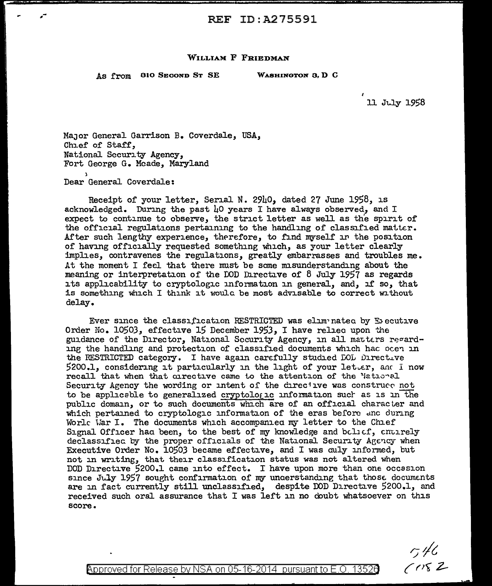## WILLIAM F FRIEDMAN

As from 810 Second St SE WASHINGTON 3, D C

ll Jt.J.y 1958

Major General Garrison B. Coverdale, USA, Chief of Staff, National Security Agency, Fort George G. Meade, Maryland ) Dear General Coverdale:

Receipt of your letter, Serial N. 2940, dated 27 June 1958, is acknowledged. During the past  $\mu$ O years I have always observed, and I expect to continue to observe, the strict letter as well as the spirit of the official regulations pertaining to the handling of classified matter. After such lengthy experience, therefore, to find myself in the position of having officially requested something which, as your letter clearly implies, contravenes the regulations, greatly embarrasses and troubles me. At the moment I feel that there must be some misunderstanding about the meaning or interpretation of the DOD Directive of 8 July 1957 as regards its applicability to cryptologic information in general, and, if so, that is something which I think it would be most advisable to correct without delay.

Ever since the classification RESTRICTED was elimpnated by Executive Order No. 10503, effective 15 December 1953, I have relied upon the guidance of the Director, National Security Agency, in all matters regarding the handling and protection of classified documents which hac ocen in the RESTRICTED category. I have again carefully studied  $DOL$  Directive  $5200.1$ , considering it particularly in the light of your letter, and I now recall that when that cirective came to the attention of the National Security Agency the wording or intent of the chreciive was construce not to be applicable to generalized cryptologic information such as is in the public domain, or to such documents which are of an official character and which pertained to cryptologic information of the eras before and during Worle War I. The documents which accompanied my letter to the Chief Signal Officer had been, to the best of my knowledge and bolief, cnuirely declassified by the proper officials of the National Security Agency when Executive Order No. 10503 became effective, and I was culy informed, but not in writing, that their classification status was not altered When DOD Directive 5200.1 came into effect. I have upon more than one occasion since July 1957 sought confirmation of my understanding that those documents are in fact currently still unclassified, despite DOD Directive 5200.1, and received such oral assurance that I was left in no doubt whatsoever on this score.

 $-7/6$ <br>(1182

 $\!$  Approved for Release by NSA on 05-16-2014  $\,$  pursuant to E.O. 1352 $6$